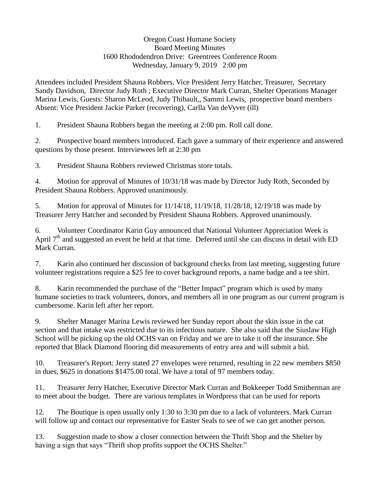## Oregon Coast Humane Society Board Meeting Minutes 1600 Rhododendron Drive: Greentrees Conference Room Wednesday, January 9, 2019 2:00 pm

Attendees included President Shauna Robbers, Vice President Jerry Hatcher, Treasurer, Secretary Sandy Davidson, Director Judy Roth ; Executive Director Mark Curran, Shelter Operations Manager Marina Lewis, Guests: Sharon McLeod, Judy Thibault,, Sammi Lewis, prospective board members Absent: Vice President Jackie Parker (recovering), Carlla Van deVyver (ill)

1. President Shauna Robbers began the meeting at 2:00 pm. Roll call done.

2. Prospective board members introduced. Each gave a summary of their experience and answered questions by those present. Interviewees left at 2:30 pm

3. President Shauna Robbers reviewed Christmas store totals.

4. Motion for approval of Minutes of 10/31/18 was made by Director Judy Roth, Seconded by President Shauna Robbers. Approved unanimously.

5. Motion for approval of Minutes for 11/14/18, 11/19/18, 11/28/18, 12/19/18 was made by Treasurer Jerry Hatcher and seconded by President Shauna Robbers. Approved unanimously.

6. Volunteer Coordinator Karin Guy announced that National Volunteer Appreciation Week is April  $7<sup>th</sup>$  and suggested an event be held at that time. Deferred until she can discuss in detail with ED Mark Curran.

7. Karin also continued her discussion of background checks from last meeting, suggesting future volunteer registrations require a \$25 fee to cover background reports, a name badge and a tee shirt.

8. Karin recommended the purchase of the "Better Impact" program which is used by many humane societies to track volunteers, donors, and members all in one program as our current program is cumbersome. Karin left after her report.

9. Shelter Manager Marina Lewis reviewed her Sunday report about the skin issue in the cat section and that intake was restricted due to its infectious nature. She also said that the Siuslaw High School will be picking up the old OCHS van on Friday and we are to take it off the insurance. She reported that Black Diamond flooring did measurements of entry area and will submit a bid.

10. Treasurer's Report: Jerry stated 27 envelopes were returned, resulting in 22 new members \$850 in dues, \$625 in donations \$1475.00 total. We have a total of 97 members today.

11. Treasurer Jerry Hatcher, Executive Director Mark Curran and Bokkeeper Todd Smitherman are to meet about the budget. There are various templates in Wordpress that can be used for reports

12. The Boutique is open usually only 1:30 to 3:30 pm due to a lack of volunteers. Mark Curran will follow up and contact our representative for Easter Seals to see of we can get another person.

13. Suggestion made to show a closer connection between the Thrift Shop and the Shelter by having a sign that says "Thrift shop profits support the OCHS Shelter."